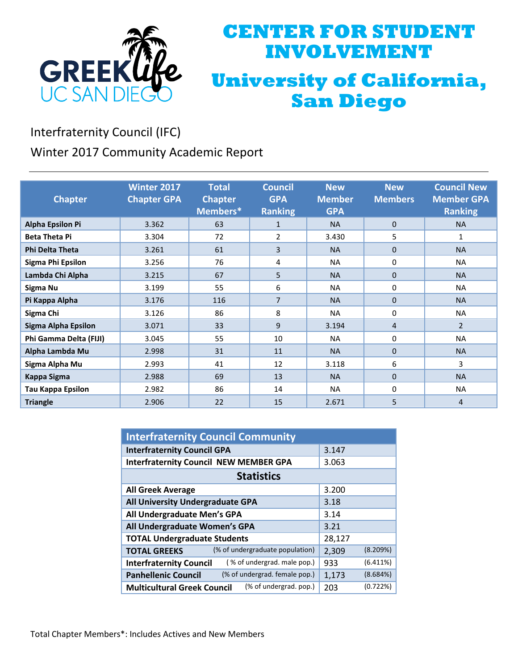

## **CENTER FOR STUDENT INVOLVEMENT University of California, San Diego**

Interfraternity Council (IFC)

Winter 2017 Community Academic Report

| <b>Chapter</b>           | <b>Winter 2017</b><br><b>Chapter GPA</b> | <b>Total</b><br><b>Chapter</b><br>Members* | <b>Council</b><br><b>GPA</b><br><b>Ranking</b> | <b>New</b><br><b>Member</b><br><b>GPA</b> | <b>New</b><br><b>Members</b> | <b>Council New</b><br><b>Member GPA</b><br><b>Ranking</b> |
|--------------------------|------------------------------------------|--------------------------------------------|------------------------------------------------|-------------------------------------------|------------------------------|-----------------------------------------------------------|
| <b>Alpha Epsilon Pi</b>  | 3.362                                    | 63                                         | $\mathbf{1}$                                   | <b>NA</b>                                 | $\Omega$                     | <b>NA</b>                                                 |
| <b>Beta Theta Pi</b>     | 3.304                                    | 72                                         | 2                                              | 3.430                                     | 5                            | 1                                                         |
| <b>Phi Delta Theta</b>   | 3.261                                    | 61                                         | 3                                              | <b>NA</b>                                 | $\mathbf{0}$                 | <b>NA</b>                                                 |
| Sigma Phi Epsilon        | 3.256                                    | 76                                         | 4                                              | <b>NA</b>                                 | 0                            | <b>NA</b>                                                 |
| Lambda Chi Alpha         | 3.215                                    | 67                                         | 5                                              | <b>NA</b>                                 | $\mathbf{0}$                 | <b>NA</b>                                                 |
| Sigma Nu                 | 3.199                                    | 55                                         | 6                                              | <b>NA</b>                                 | 0                            | <b>NA</b>                                                 |
| Pi Kappa Alpha           | 3.176                                    | 116                                        | 7                                              | <b>NA</b>                                 | $\Omega$                     | <b>NA</b>                                                 |
| Sigma Chi                | 3.126                                    | 86                                         | 8                                              | <b>NA</b>                                 | $\Omega$                     | <b>NA</b>                                                 |
| Sigma Alpha Epsilon      | 3.071                                    | 33                                         | 9                                              | 3.194                                     | 4                            | $\overline{2}$                                            |
| Phi Gamma Delta (FIJI)   | 3.045                                    | 55                                         | 10                                             | <b>NA</b>                                 | $\Omega$                     | <b>NA</b>                                                 |
| Alpha Lambda Mu          | 2.998                                    | 31                                         | 11                                             | <b>NA</b>                                 | $\Omega$                     | <b>NA</b>                                                 |
| Sigma Alpha Mu           | 2.993                                    | 41                                         | 12                                             | 3.118                                     | 6                            | 3                                                         |
| <b>Kappa Sigma</b>       | 2.988                                    | 69                                         | 13                                             | <b>NA</b>                                 | $\Omega$                     | <b>NA</b>                                                 |
| <b>Tau Kappa Epsilon</b> | 2.982                                    | 86                                         | 14                                             | <b>NA</b>                                 | $\Omega$                     | <b>NA</b>                                                 |
| <b>Triangle</b>          | 2.906                                    | 22                                         | 15                                             | 2.671                                     | 5                            | 4                                                         |

| <b>Interfraternity Council Community</b>                      |                   |  |  |  |
|---------------------------------------------------------------|-------------------|--|--|--|
| <b>Interfraternity Council GPA</b>                            | 3.147             |  |  |  |
| <b>Interfraternity Council NEW MEMBER GPA</b>                 | 3.063             |  |  |  |
| <b>Statistics</b>                                             |                   |  |  |  |
| <b>All Greek Average</b>                                      | 3.200             |  |  |  |
| All University Undergraduate GPA                              | 3.18              |  |  |  |
| All Undergraduate Men's GPA                                   | 3.14              |  |  |  |
| All Undergraduate Women's GPA                                 | 3.21              |  |  |  |
| <b>TOTAL Undergraduate Students</b>                           | 28,127            |  |  |  |
| (% of undergraduate population)<br><b>TOTAL GREEKS</b>        | (8.209%)<br>2,309 |  |  |  |
| (% of undergrad. male pop.)<br><b>Interfraternity Council</b> | (6.411%)<br>933   |  |  |  |
| (% of undergrad. female pop.)<br><b>Panhellenic Council</b>   | (8.684%)<br>1,173 |  |  |  |
| (% of undergrad. pop.)<br><b>Multicultural Greek Council</b>  | (0.722%)<br>203   |  |  |  |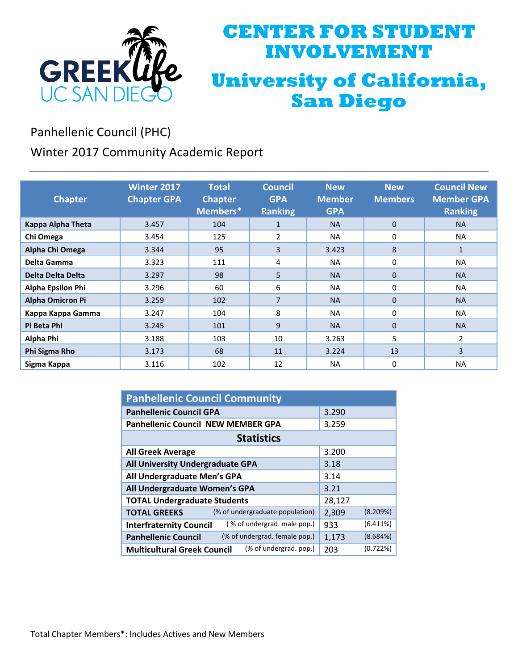

## **CENTER FOR STUDENT INVOLVEMENT University of California, San Diego**

Panhellenic Council (PHC)

Winter 2017 Community Academic Report

| <b>Chapter</b>          | <b>Winter 2017</b><br><b>Chapter GPA</b> | <b>Total</b><br><b>Chapter</b><br>Members* | <b>Council</b><br><b>GPA</b><br><b>Ranking</b> | <b>New</b><br><b>Member</b><br><b>GPA</b> | <b>New</b><br><b>Members</b> | <b>Council New</b><br><b>Member GPA</b><br><b>Ranking</b> |
|-------------------------|------------------------------------------|--------------------------------------------|------------------------------------------------|-------------------------------------------|------------------------------|-----------------------------------------------------------|
| Kappa Alpha Theta       | 3.457                                    | 104                                        | $\mathbf{1}$                                   | <b>NA</b>                                 | $\mathbf{0}$                 | <b>NA</b>                                                 |
| Chi Omega               | 3.454                                    | 125                                        | 2                                              | <b>NA</b>                                 | 0                            | <b>NA</b>                                                 |
| Alpha Chi Omega         | 3.344                                    | 95                                         | 3                                              | 3.423                                     | 8                            | $\mathbf{1}$                                              |
| Delta Gamma             | 3.323                                    | 111                                        | 4                                              | <b>NA</b>                                 | 0                            | <b>NA</b>                                                 |
| Delta Delta Delta       | 3.297                                    | 98                                         | 5                                              | <b>NA</b>                                 | $\Omega$                     | <b>NA</b>                                                 |
| Alpha Epsilon Phi       | 3.296                                    | 60                                         | 6                                              | <b>NA</b>                                 | $\Omega$                     | <b>NA</b>                                                 |
| <b>Alpha Omicron Pi</b> | 3.259                                    | 102                                        | $\overline{7}$                                 | <b>NA</b>                                 | $\Omega$                     | <b>NA</b>                                                 |
| Kappa Kappa Gamma       | 3.247                                    | 104                                        | 8                                              | <b>NA</b>                                 | $\Omega$                     | <b>NA</b>                                                 |
| Pi Beta Phi             | 3.245                                    | 101                                        | 9                                              | <b>NA</b>                                 | $\Omega$                     | <b>NA</b>                                                 |
| Alpha Phi               | 3.188                                    | 103                                        | 10                                             | 3.263                                     | 5                            | 2                                                         |
| Phi Sigma Rho           | 3.173                                    | 68                                         | 11                                             | 3.224                                     | 13                           | 3                                                         |
| Sigma Kappa             | 3.116                                    | 102                                        | 12                                             | <b>NA</b>                                 | $\Omega$                     | <b>NA</b>                                                 |

| <b>Panhellenic Council Community</b>                          |                   |  |  |  |
|---------------------------------------------------------------|-------------------|--|--|--|
| <b>Panhellenic Council GPA</b>                                | 3.290             |  |  |  |
| <b>Panhellenic Council NEW MEMBER GPA</b>                     | 3.259             |  |  |  |
| <b>Statistics</b>                                             |                   |  |  |  |
| <b>All Greek Average</b>                                      | 3.200             |  |  |  |
| All University Undergraduate GPA                              | 3.18              |  |  |  |
| All Undergraduate Men's GPA                                   | 3.14              |  |  |  |
| All Undergraduate Women's GPA                                 | 3.21              |  |  |  |
| <b>TOTAL Undergraduate Students</b>                           | 28,127            |  |  |  |
| (% of undergraduate population)<br><b>TOTAL GREEKS</b>        | (8.209%)<br>2,309 |  |  |  |
| (% of undergrad. male pop.)<br><b>Interfraternity Council</b> | (6.411%)<br>933   |  |  |  |
| (% of undergrad. female pop.)<br><b>Panhellenic Council</b>   | (8.684%)<br>1,173 |  |  |  |
| (% of undergrad. pop.)<br><b>Multicultural Greek Council</b>  | (0.722%)<br>203   |  |  |  |